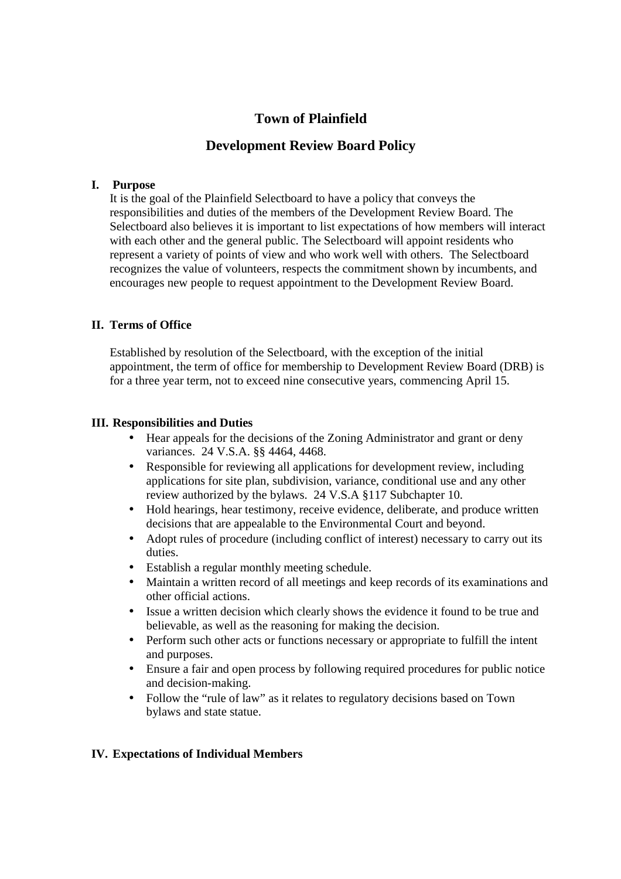# **Town of Plainfield**

# **Development Review Board Policy**

## **I. Purpose**

It is the goal of the Plainfield Selectboard to have a policy that conveys the responsibilities and duties of the members of the Development Review Board. The Selectboard also believes it is important to list expectations of how members will interact with each other and the general public. The Selectboard will appoint residents who represent a variety of points of view and who work well with others. The Selectboard recognizes the value of volunteers, respects the commitment shown by incumbents, and encourages new people to request appointment to the Development Review Board.

# **II. Terms of Office**

Established by resolution of the Selectboard, with the exception of the initial appointment, the term of office for membership to Development Review Board (DRB) is for a three year term, not to exceed nine consecutive years, commencing April 15.

## **III. Responsibilities and Duties**

- Hear appeals for the decisions of the Zoning Administrator and grant or deny variances. 24 V.S.A. §§ 4464, 4468.
- Responsible for reviewing all applications for development review, including applications for site plan, subdivision, variance, conditional use and any other review authorized by the bylaws. 24 V.S.A §117 Subchapter 10.
- Hold hearings, hear testimony, receive evidence, deliberate, and produce written decisions that are appealable to the Environmental Court and beyond.
- Adopt rules of procedure (including conflict of interest) necessary to carry out its duties.
- Establish a regular monthly meeting schedule.
- Maintain a written record of all meetings and keep records of its examinations and other official actions.
- Issue a written decision which clearly shows the evidence it found to be true and believable, as well as the reasoning for making the decision.
- Perform such other acts or functions necessary or appropriate to fulfill the intent and purposes.
- Ensure a fair and open process by following required procedures for public notice and decision-making.
- Follow the "rule of law" as it relates to regulatory decisions based on Town bylaws and state statue.

## **IV. Expectations of Individual Members**